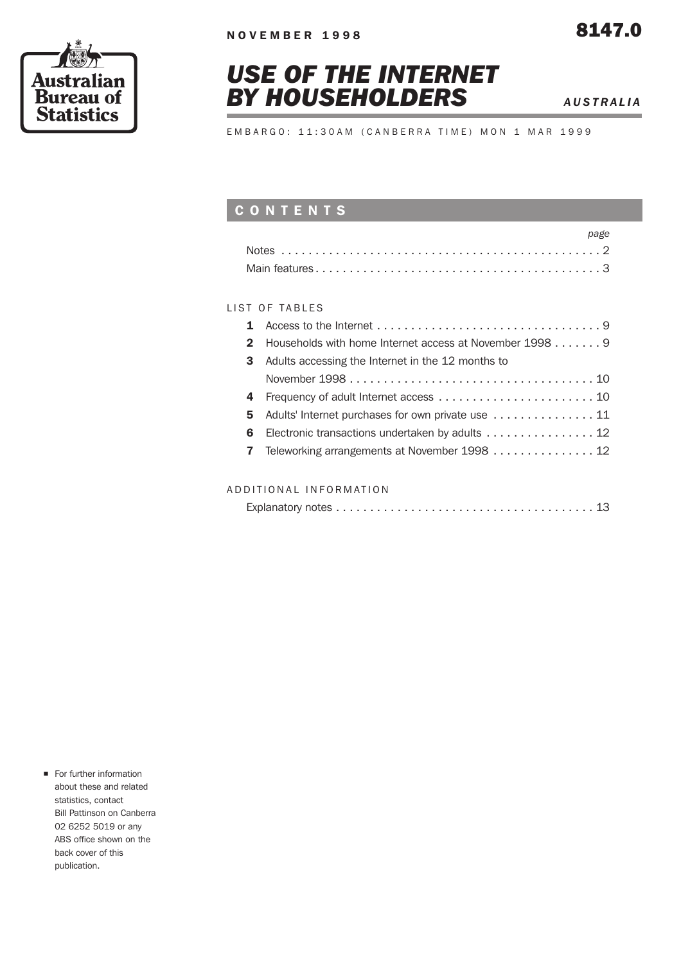

# *USE OF THE INTERNET BY HOUSEHOLDERS AUSTRALIA*

EMBARGO: 11:30AM (CANBERRA TIME) MON 1 MAR 1999

## CONTENTS

| page |
|------|
|      |
|      |

### LIST OF TABLES

|    | 2 Households with home Internet access at November 1998 9 |
|----|-----------------------------------------------------------|
| 3  | Adults accessing the Internet in the 12 months to         |
|    |                                                           |
|    |                                                           |
|    | 5 Adults' Internet purchases for own private use  11      |
| 6. | Electronic transactions undertaken by adults 12           |
|    | 7 Teleworking arrangements at November 1998 12            |
|    |                                                           |

### ADDITIONAL INFORMATION

|--|--|--|--|--|--|--|

**n** For further information about these and related statistics, contact Bill Pattinson on Canberra 02 6252 5019 or any ABS office shown on the back cover of this publication.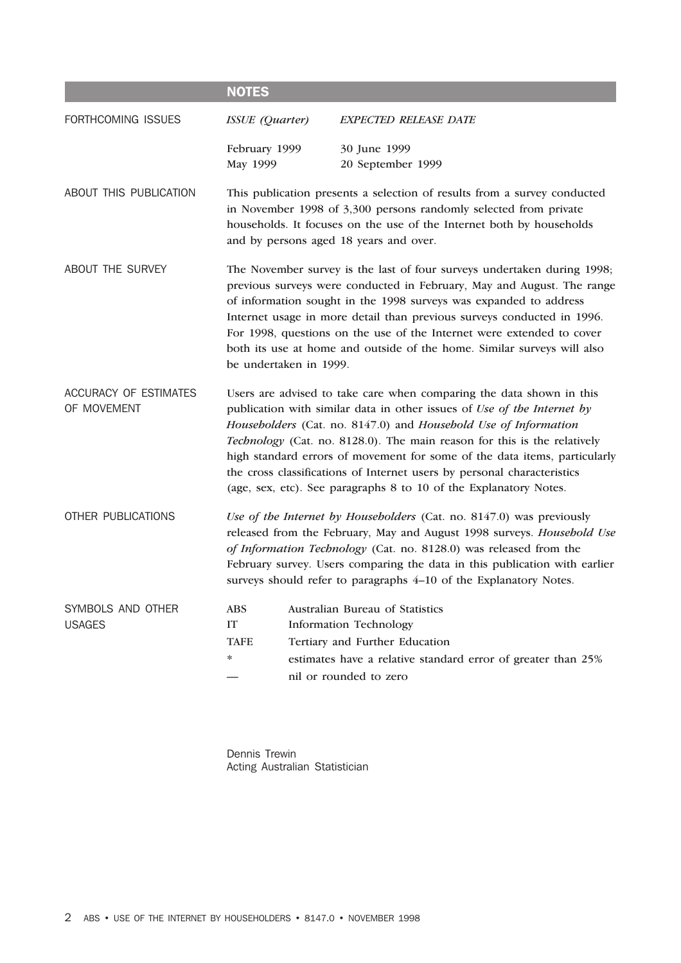|                                      | <b>NOTES</b>                                                                                                                                                                                                                                                                                                                                                                                                                                                                                                                |  |                                                                                                                                                                                              |  |  |  |
|--------------------------------------|-----------------------------------------------------------------------------------------------------------------------------------------------------------------------------------------------------------------------------------------------------------------------------------------------------------------------------------------------------------------------------------------------------------------------------------------------------------------------------------------------------------------------------|--|----------------------------------------------------------------------------------------------------------------------------------------------------------------------------------------------|--|--|--|
| FORTHCOMING ISSUES                   | ISSUE (Quarter)                                                                                                                                                                                                                                                                                                                                                                                                                                                                                                             |  | <b>EXPECTED RELEASE DATE</b>                                                                                                                                                                 |  |  |  |
|                                      | February 1999<br>May 1999                                                                                                                                                                                                                                                                                                                                                                                                                                                                                                   |  | 30 June 1999<br>20 September 1999                                                                                                                                                            |  |  |  |
| ABOUT THIS PUBLICATION               | This publication presents a selection of results from a survey conducted<br>in November 1998 of 3,300 persons randomly selected from private<br>households. It focuses on the use of the Internet both by households<br>and by persons aged 18 years and over.                                                                                                                                                                                                                                                              |  |                                                                                                                                                                                              |  |  |  |
| ABOUT THE SURVEY                     | The November survey is the last of four surveys undertaken during 1998;<br>previous surveys were conducted in February, May and August. The range<br>of information sought in the 1998 surveys was expanded to address<br>Internet usage in more detail than previous surveys conducted in 1996.<br>For 1998, questions on the use of the Internet were extended to cover<br>both its use at home and outside of the home. Similar surveys will also<br>be undertaken in 1999.                                              |  |                                                                                                                                                                                              |  |  |  |
| ACCURACY OF ESTIMATES<br>OF MOVEMENT | Users are advised to take care when comparing the data shown in this<br>publication with similar data in other issues of Use of the Internet by<br>Householders (Cat. no. 8147.0) and Household Use of Information<br>Technology (Cat. no. 8128.0). The main reason for this is the relatively<br>high standard errors of movement for some of the data items, particularly<br>the cross classifications of Internet users by personal characteristics<br>(age, sex, etc). See paragraphs 8 to 10 of the Explanatory Notes. |  |                                                                                                                                                                                              |  |  |  |
| OTHER PUBLICATIONS                   | Use of the Internet by Householders (Cat. no. 8147.0) was previously<br>released from the February, May and August 1998 surveys. Household Use<br>of Information Technology (Cat. no. 8128.0) was released from the<br>February survey. Users comparing the data in this publication with earlier<br>surveys should refer to paragraphs 4-10 of the Explanatory Notes.                                                                                                                                                      |  |                                                                                                                                                                                              |  |  |  |
| SYMBOLS AND OTHER<br><b>USAGES</b>   | <b>ABS</b><br>IT<br><b>TAFE</b><br>∗                                                                                                                                                                                                                                                                                                                                                                                                                                                                                        |  | Australian Bureau of Statistics<br><b>Information Technology</b><br>Tertiary and Further Education<br>estimates have a relative standard error of greater than 25%<br>nil or rounded to zero |  |  |  |

Dennis Trewin Acting Australian Statistician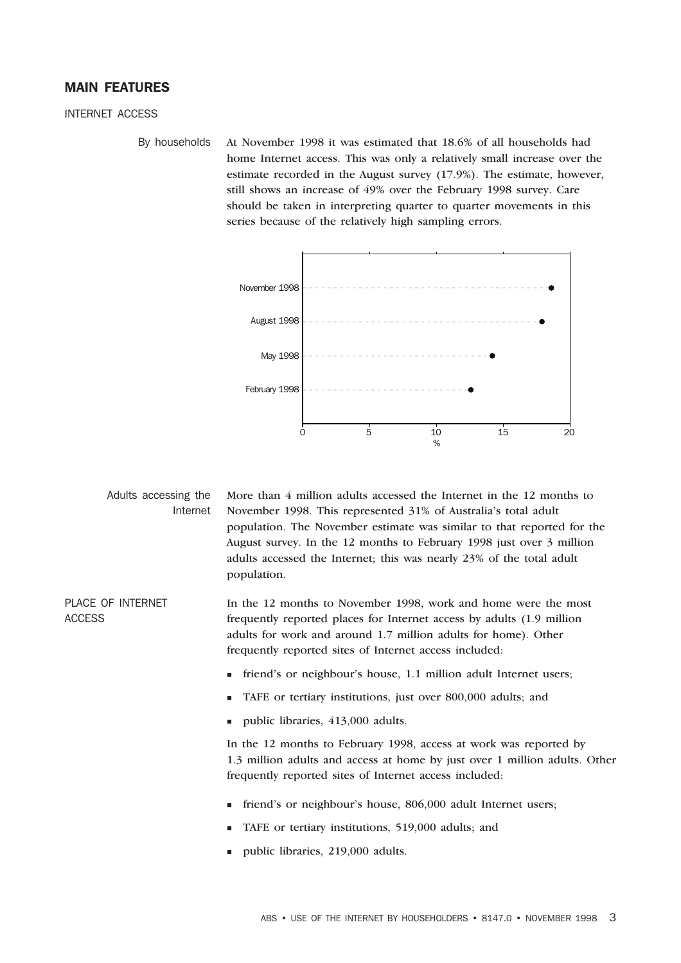### MAIN FEATURES

INTERNET ACCESS

By households At November 1998 it was estimated that 18.6% of all households had home Internet access. This was only a relatively small increase over the estimate recorded in the August survey (17.9%). The estimate, however, still shows an increase of 49% over the February 1998 survey. Care should be taken in interpreting quarter to quarter movements in this series because of the relatively high sampling errors.



Adults accessing the Internet More than 4 million adults accessed the Internet in the 12 months to November 1998. This represented 31% of Australia's total adult population. The November estimate was similar to that reported for the August survey. In the 12 months to February 1998 just over 3 million adults accessed the Internet; this was nearly 23% of the total adult population.

PLACE OF INTERNET ACCESS In the 12 months to November 1998, work and home were the most frequently reported places for Internet access by adults (1.9 million adults for work and around 1.7 million adults for home). Other frequently reported sites of Internet access included:

- friend's or neighbour's house, 1.1 million adult Internet users;
- TAFE or tertiary institutions, just over 800,000 adults; and
- public libraries, 413,000 adults.

In the 12 months to February 1998, access at work was reported by 1.3 million adults and access at home by just over 1 million adults. Other frequently reported sites of Internet access included:

- friend's or neighbour's house, 806,000 adult Internet users;
- TAFE or tertiary institutions, 519,000 adults; and
- public libraries, 219,000 adults.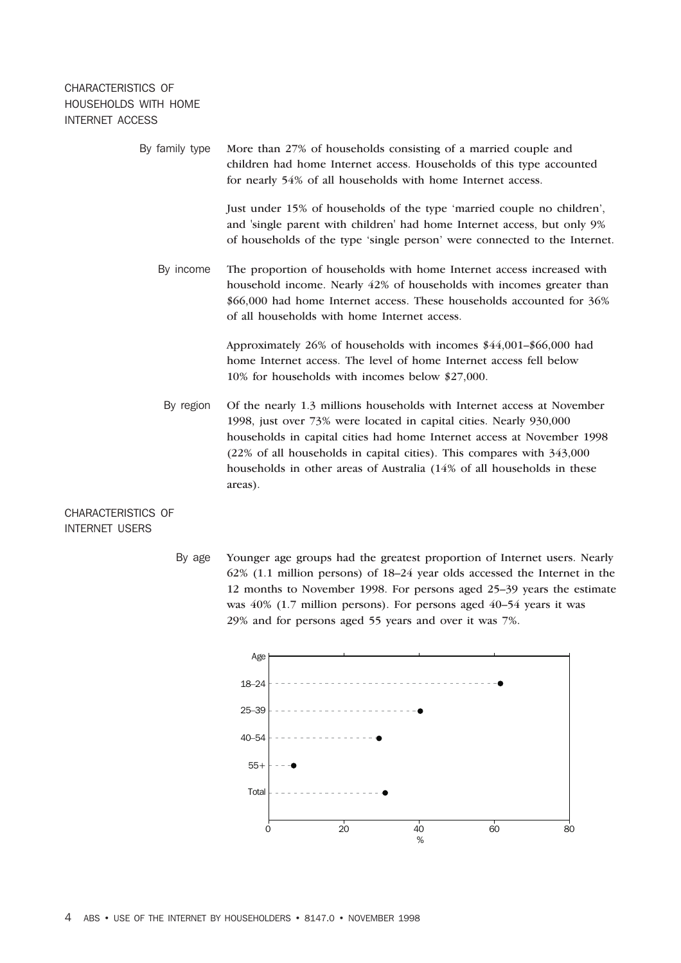### CHARACTERISTICS OF HOUSEHOLDS WITH HOME INTERNET ACCESS

| By family type | More than 27% of households consisting of a married couple and<br>children had home Internet access. Households of this type accounted<br>for nearly 54% of all households with home Internet access.                                                                                                                                                                                |
|----------------|--------------------------------------------------------------------------------------------------------------------------------------------------------------------------------------------------------------------------------------------------------------------------------------------------------------------------------------------------------------------------------------|
|                | Just under 15% of households of the type 'married couple no children',<br>and 'single parent with children' had home Internet access, but only 9%<br>of households of the type 'single person' were connected to the Internet.                                                                                                                                                       |
| By income      | The proportion of households with home Internet access increased with<br>household income. Nearly 42% of households with incomes greater than<br>\$66,000 had home Internet access. These households accounted for 36%<br>of all households with home Internet access.                                                                                                               |
|                | Approximately 26% of households with incomes \$44,001-\$66,000 had<br>home Internet access. The level of home Internet access fell below<br>10% for households with incomes below \$27,000.                                                                                                                                                                                          |
| By region      | Of the nearly 1.3 millions households with Internet access at November<br>1998, just over 73% were located in capital cities. Nearly 930,000<br>households in capital cities had home Internet access at November 1998<br>(22% of all households in capital cities). This compares with 343,000<br>households in other areas of Australia (14% of all households in these<br>areas). |
| RISTICS OF     |                                                                                                                                                                                                                                                                                                                                                                                      |

CHARACTER INTERNET USERS

> By age Younger age groups had the greatest proportion of Internet users. Nearly 62% (1.1 million persons) of 18–24 year olds accessed the Internet in the 12 months to November 1998. For persons aged 25–39 years the estimate was 40% (1.7 million persons). For persons aged 40–54 years it was 29% and for persons aged 55 years and over it was 7%.

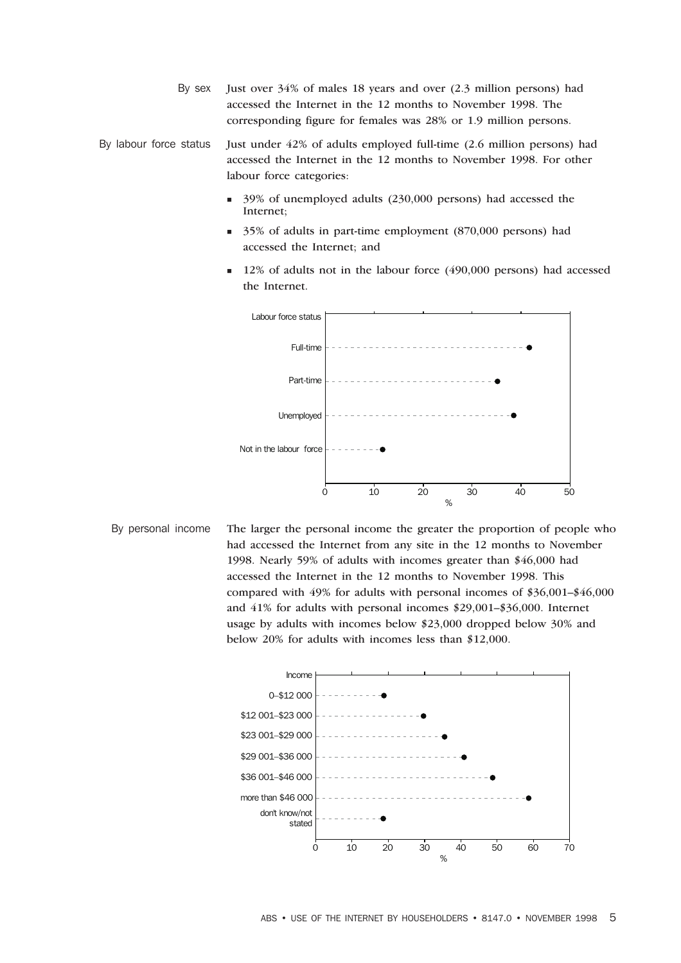By sex Just over 34% of males 18 years and over (2.3 million persons) had accessed the Internet in the 12 months to November 1998. The corresponding figure for females was 28% or 1.9 million persons.

By labour force status Just under 42% of adults employed full-time (2.6 million persons) had accessed the Internet in the 12 months to November 1998. For other labour force categories:

- <sup>n</sup> 39% of unemployed adults (230,000 persons) had accessed the Internet;
- <sup>n</sup> 35% of adults in part-time employment (870,000 persons) had accessed the Internet; and
- <sup>n</sup> 12% of adults not in the labour force (490,000 persons) had accessed the Internet.



By personal income The larger the personal income the greater the proportion of people who had accessed the Internet from any site in the 12 months to November 1998. Nearly 59% of adults with incomes greater than \$46,000 had accessed the Internet in the 12 months to November 1998. This compared with 49% for adults with personal incomes of \$36,001–\$46,000 and 41% for adults with personal incomes \$29,001–\$36,000. Internet usage by adults with incomes below \$23,000 dropped below 30% and below 20% for adults with incomes less than \$12,000.

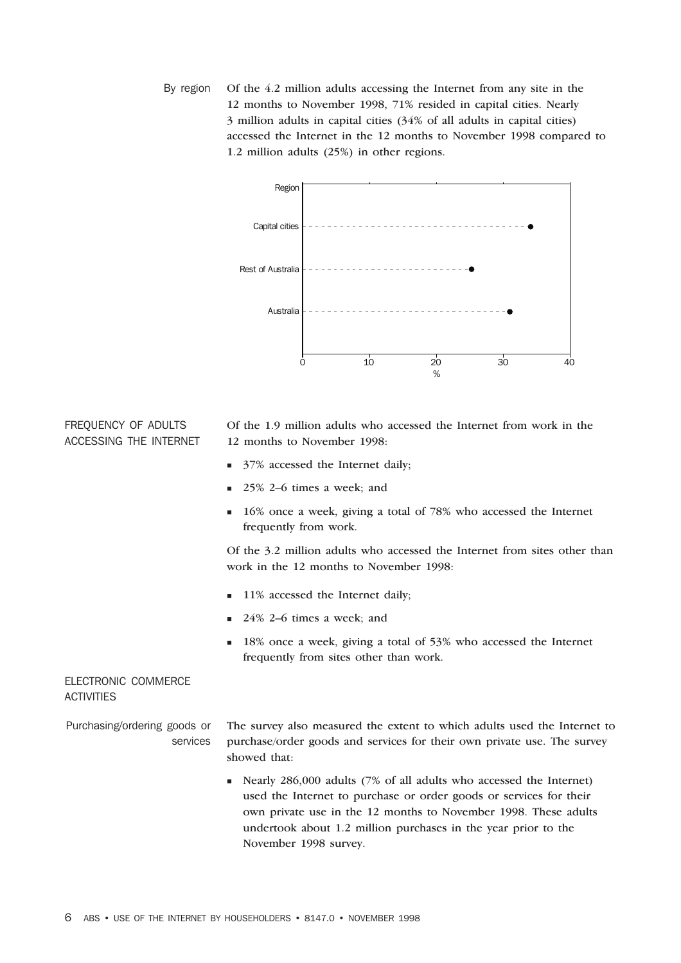By region Of the 4.2 million adults accessing the Internet from any site in the 12 months to November 1998, 71% resided in capital cities. Nearly 3 million adults in capital cities (34% of all adults in capital cities) accessed the Internet in the 12 months to November 1998 compared to 1.2 million adults (25%) in other regions.



### FREQUENCY OF ADULTS ACCESSING THE INTERNET

Of the 1.9 million adults who accessed the Internet from work in the 12 months to November 1998:

- 37% accessed the Internet daily;
- <sup>n</sup> 25% 2–6 times a week; and
- <sup>n</sup> 16% once a week, giving a total of 78% who accessed the Internet frequently from work.

Of the 3.2 million adults who accessed the Internet from sites other than work in the 12 months to November 1998:

- 11% accessed the Internet daily;
- <sup>n</sup> 24% 2–6 times a week; and
- <sup>n</sup> 18% once a week, giving a total of 53% who accessed the Internet frequently from sites other than work.

### ELECTRONIC COMMERCE **ACTIVITIES**

Purchasing/ordering goods or services The survey also measured the extent to which adults used the Internet to purchase/order goods and services for their own private use. The survey showed that:

> <sup>n</sup> Nearly 286,000 adults (7% of all adults who accessed the Internet) used the Internet to purchase or order goods or services for their own private use in the 12 months to November 1998. These adults undertook about 1.2 million purchases in the year prior to the November 1998 survey.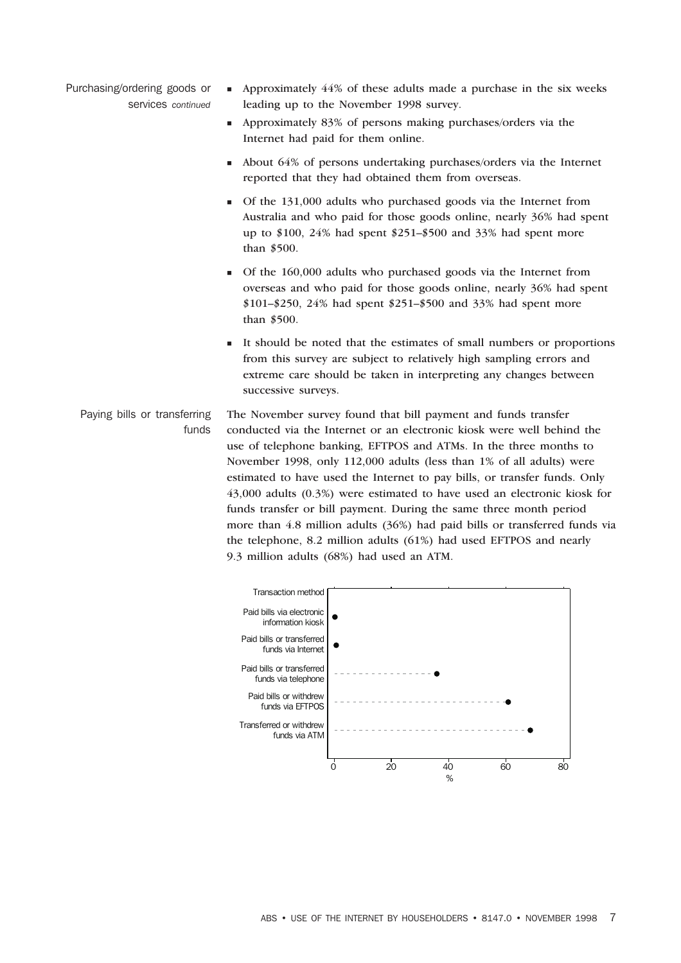- Purchasing/ordering goods or services *continued*
	- <sup>n</sup> Approximately 44% of these adults made a purchase in the six weeks leading up to the November 1998 survey.
	- <sup>n</sup> Approximately 83% of persons making purchases/orders via the Internet had paid for them online.
	- <sup>n</sup> About 64% of persons undertaking purchases/orders via the Internet reported that they had obtained them from overseas.
	- <sup>n</sup> Of the 131,000 adults who purchased goods via the Internet from Australia and who paid for those goods online, nearly 36% had spent up to \$100, 24% had spent \$251–\$500 and 33% had spent more than \$500.
	- <sup>n</sup> Of the 160,000 adults who purchased goods via the Internet from overseas and who paid for those goods online, nearly 36% had spent \$101–\$250, 24% had spent \$251–\$500 and 33% had spent more than \$500.
	- It should be noted that the estimates of small numbers or proportions from this survey are subject to relatively high sampling errors and extreme care should be taken in interpreting any changes between successive surveys.
	- Paying bills or transferring funds The November survey found that bill payment and funds transfer conducted via the Internet or an electronic kiosk were well behind the use of telephone banking, EFTPOS and ATMs. In the three months to November 1998, only 112,000 adults (less than 1% of all adults) were estimated to have used the Internet to pay bills, or transfer funds. Only 43,000 adults (0.3%) were estimated to have used an electronic kiosk for funds transfer or bill payment. During the same three month period more than 4.8 million adults (36%) had paid bills or transferred funds via the telephone, 8.2 million adults (61%) had used EFTPOS and nearly 9.3 million adults (68%) had used an ATM.

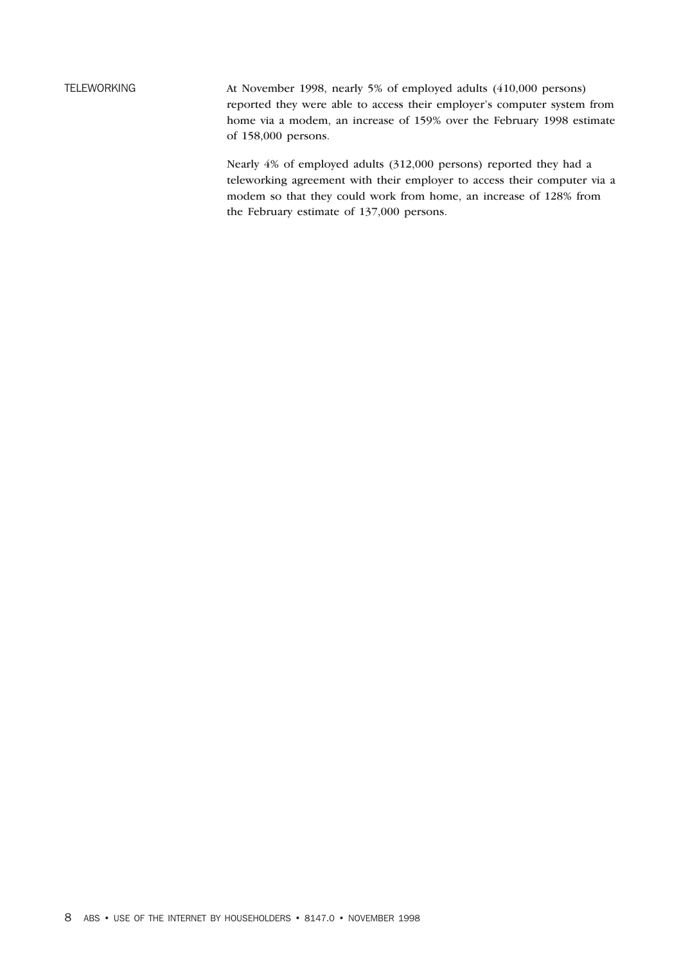TELEWORKING At November 1998, nearly 5% of employed adults (410,000 persons) reported they were able to access their employer's computer system from home via a modem, an increase of 159% over the February 1998 estimate of 158,000 persons.

> Nearly 4% of employed adults (312,000 persons) reported they had a teleworking agreement with their employer to access their computer via a modem so that they could work from home, an increase of 128% from the February estimate of 137,000 persons.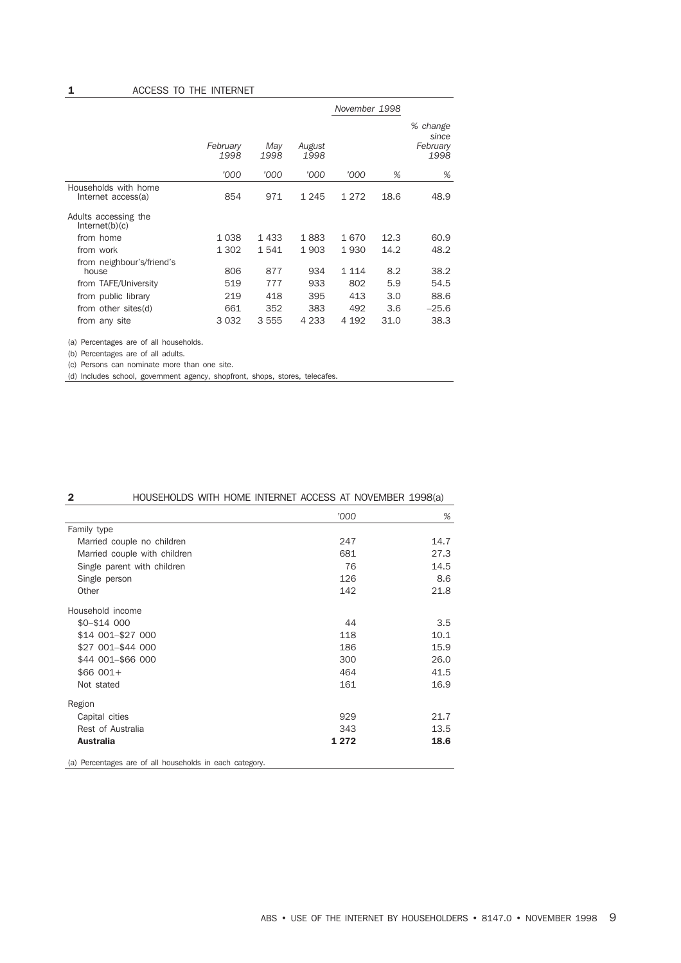|                                                            |                  |             |                | November 1998  |            |                                       |
|------------------------------------------------------------|------------------|-------------|----------------|----------------|------------|---------------------------------------|
|                                                            | February<br>1998 | May<br>1998 | August<br>1998 |                |            | % change<br>since<br>February<br>1998 |
|                                                            | '000             | '000        | '000           | '000           | %          | %                                     |
| Households with home<br>Internet access(a)                 | 854              | 971         | 1 2 4 5        | 1 2 7 2        | 18.6       | 48.9                                  |
| Adults accessing the<br>Internet(b)(c)                     |                  |             |                |                |            |                                       |
| from home                                                  | 1038             | 1433        | 1883           | 1670           | 12.3       | 60.9                                  |
| from work                                                  | 1 302            | 1541        | 1903           | 1930           | 14.2       | 48.2                                  |
| from neighbour's/friend's<br>house<br>from TAFE/University | 806<br>519       | 877<br>777  | 934<br>933     | 1 1 1 4<br>802 | 8.2<br>5.9 | 38.2<br>54.5                          |
| from public library                                        | 219              | 418         | 395            | 413            | 3.0        | 88.6                                  |
| from other sites(d)                                        | 661              | 352         | 383            | 492            | 3.6        | $-25.6$                               |
| from any site                                              | 3 0 3 2          | 3555        | 4 2 3 3        | 4 192          | 31.0       | 38.3                                  |

(a) Percentages are of all households.

(b) Percentages are of all adults.

(c) Persons can nominate more than one site.

(d) Includes school, government agency, shopfront, shops, stores, telecafes.

| $\mathbf{2}$      |                                                         | HOUSEHOLDS WITH HOME INTERNET ACCESS AT NOVEMBER 1998(a) |      |
|-------------------|---------------------------------------------------------|----------------------------------------------------------|------|
|                   |                                                         | '000                                                     | %    |
| Family type       |                                                         |                                                          |      |
|                   | Married couple no children                              | 247                                                      | 14.7 |
|                   | Married couple with children                            | 681                                                      | 27.3 |
|                   | Single parent with children                             | 76                                                       | 14.5 |
| Single person     |                                                         | 126                                                      | 8.6  |
| Other             |                                                         | 142                                                      | 21.8 |
| Household income  |                                                         |                                                          |      |
| \$0-\$14 000      |                                                         | 44                                                       | 3.5  |
| \$14 001-\$27 000 |                                                         | 118                                                      | 10.1 |
| \$27 001-\$44 000 |                                                         | 186                                                      | 15.9 |
| \$44 001-\$66 000 |                                                         | 300                                                      | 26.0 |
| $$66001+$         |                                                         | 464                                                      | 41.5 |
| Not stated        |                                                         | 161                                                      | 16.9 |
| Region            |                                                         |                                                          |      |
| Capital cities    |                                                         | 929                                                      | 21.7 |
| Rest of Australia |                                                         | 343                                                      | 13.5 |
| <b>Australia</b>  |                                                         | 1 2 7 2                                                  | 18.6 |
|                   | (a) Percentages are of all households in each category. |                                                          |      |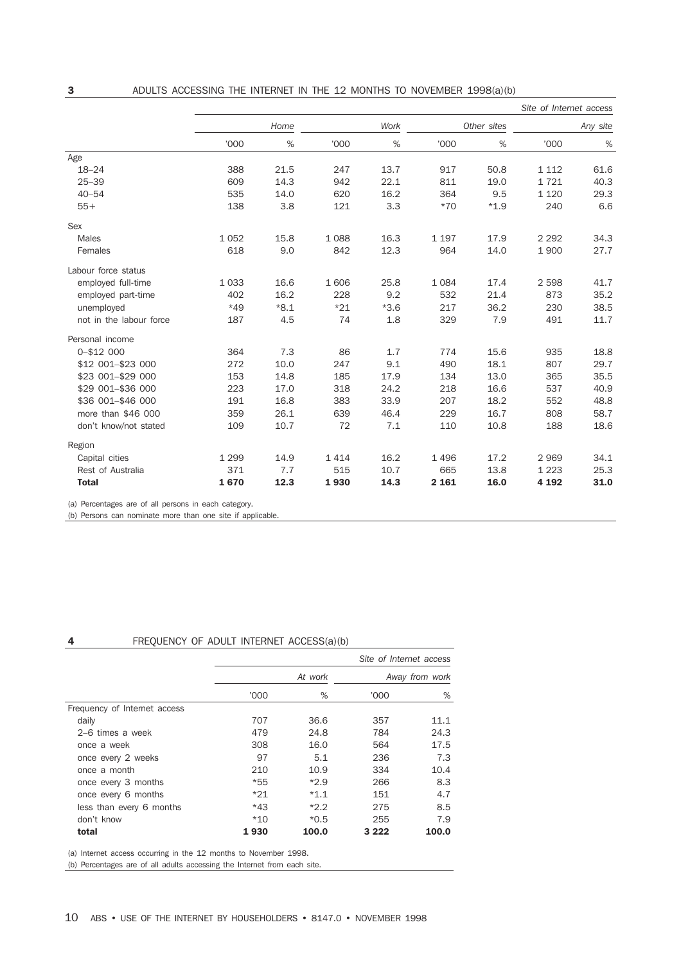|                         |         |        |       |        |         |             | Site of Internet access |          |
|-------------------------|---------|--------|-------|--------|---------|-------------|-------------------------|----------|
|                         |         | Home   |       | Work   |         | Other sites |                         | Any site |
|                         | '000    | $\%$   | '000  | %      | '000    | $\%$        | '000                    | %        |
| Age                     |         |        |       |        |         |             |                         |          |
| $18 - 24$               | 388     | 21.5   | 247   | 13.7   | 917     | 50.8        | 1 1 1 2                 | 61.6     |
| $25 - 39$               | 609     | 14.3   | 942   | 22.1   | 811     | 19.0        | 1721                    | 40.3     |
| $40 - 54$               | 535     | 14.0   | 620   | 16.2   | 364     | 9.5         | 1 1 2 0                 | 29.3     |
| $55+$                   | 138     | 3.8    | 121   | 3.3    | $*70$   | $*1.9$      | 240                     | 6.6      |
| Sex                     |         |        |       |        |         |             |                         |          |
| Males                   | 1052    | 15.8   | 1088  | 16.3   | 1 1 9 7 | 17.9        | 2 2 9 2                 | 34.3     |
| Females                 | 618     | 9.0    | 842   | 12.3   | 964     | 14.0        | 1 900                   | 27.7     |
| Labour force status     |         |        |       |        |         |             |                         |          |
| employed full-time      | 1 0 3 3 | 16.6   | 1606  | 25.8   | 1 0 8 4 | 17.4        | 2 5 9 8                 | 41.7     |
| employed part-time      | 402     | 16.2   | 228   | 9.2    | 532     | 21.4        | 873                     | 35.2     |
| unemployed              | $*49$   | $*8.1$ | $*21$ | $*3.6$ | 217     | 36.2        | 230                     | 38.5     |
| not in the labour force | 187     | 4.5    | 74    | 1.8    | 329     | 7.9         | 491                     | 11.7     |
| Personal income         |         |        |       |        |         |             |                         |          |
| 0-\$12 000              | 364     | 7.3    | 86    | 1.7    | 774     | 15.6        | 935                     | 18.8     |
| \$12 001-\$23 000       | 272     | 10.0   | 247   | 9.1    | 490     | 18.1        | 807                     | 29.7     |
| \$23 001-\$29 000       | 153     | 14.8   | 185   | 17.9   | 134     | 13.0        | 365                     | 35.5     |
| \$29 001-\$36 000       | 223     | 17.0   | 318   | 24.2   | 218     | 16.6        | 537                     | 40.9     |
| \$36 001-\$46 000       | 191     | 16.8   | 383   | 33.9   | 207     | 18.2        | 552                     | 48.8     |
| more than \$46 000      | 359     | 26.1   | 639   | 46.4   | 229     | 16.7        | 808                     | 58.7     |
| don't know/not stated   | 109     | 10.7   | 72    | 7.1    | 110     | 10.8        | 188                     | 18.6     |
| Region                  |         |        |       |        |         |             |                         |          |
| Capital cities          | 1 2 9 9 | 14.9   | 1414  | 16.2   | 1496    | 17.2        | 2969                    | 34.1     |
| Rest of Australia       | 371     | 7.7    | 515   | 10.7   | 665     | 13.8        | 1 2 2 3                 | 25.3     |
| <b>Total</b>            | 1670    | 12.3   | 1930  | 14.3   | 2 1 6 1 | 16.0        | 4 1 9 2                 | 31.0     |

(a) Percentages are of all persons in each category.

(b) Persons can nominate more than one site if applicable.

### 4 FREQUENCY OF ADULT INTERNET ACCESS(a)(b)

|                              | Site of Internet access |         |                |       |  |  |
|------------------------------|-------------------------|---------|----------------|-------|--|--|
|                              |                         | At work | Away from work |       |  |  |
|                              | '000                    | %       | '000           | %     |  |  |
| Frequency of Internet access |                         |         |                |       |  |  |
| daily                        | 707                     | 36.6    | 357            | 11.1  |  |  |
| 2–6 times a week             | 479                     | 24.8    | 784            | 24.3  |  |  |
| once a week                  | 308                     | 16.0    | 564            | 17.5  |  |  |
| once every 2 weeks           | 97                      | 5.1     | 236            | 7.3   |  |  |
| once a month                 | 210                     | 10.9    | 334            | 10.4  |  |  |
| once every 3 months          | *55                     | $*2.9$  | 266            | 8.3   |  |  |
| once every 6 months          | $*21$                   | $*1.1$  | 151            | 4.7   |  |  |
| less than every 6 months     | $*43$                   | $*2.2$  | 275            | 8.5   |  |  |
| don't know                   | $*10$                   | $*0.5$  | 255            | 7.9   |  |  |
| total                        | 1930                    | 100.0   | 3 2 2 2        | 100.0 |  |  |

(a) Internet access occurring in the 12 months to November 1998.

(b) Percentages are of all adults accessing the Internet from each site.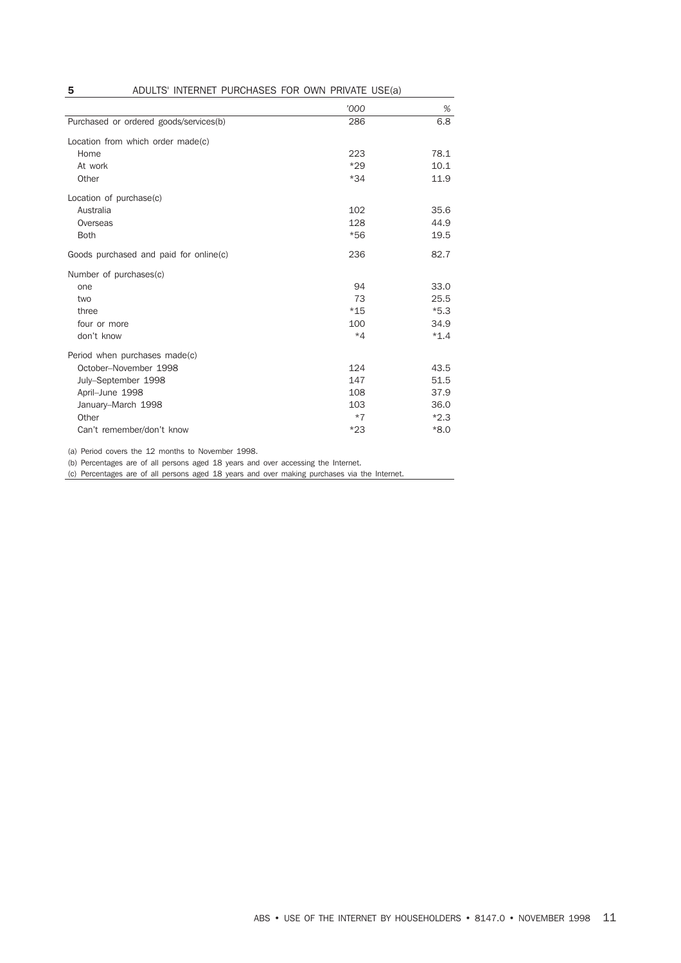**5** ADULTS' INTERNET PURCHASES FOR OWN PRIVATE USE(a)

|                                        | '000  | %      |
|----------------------------------------|-------|--------|
| Purchased or ordered goods/services(b) | 286   | 6.8    |
| Location from which order made(c)      |       |        |
| Home                                   | 223   | 78.1   |
| At work                                | $*29$ | 10.1   |
| Other                                  | $*34$ | 11.9   |
| Location of purchase(c)                |       |        |
| Australia                              | 102   | 35.6   |
| Overseas                               | 128   | 44.9   |
| <b>Both</b>                            | $*56$ | 19.5   |
| Goods purchased and paid for online(c) | 236   | 82.7   |
| Number of purchases(c)                 |       |        |
| one                                    | 94    | 33.0   |
| two                                    | 73    | 25.5   |
| three                                  | $*15$ | $*5.3$ |
| four or more                           | 100   | 34.9   |
| don't know                             | $*4$  | $*1.4$ |
| Period when purchases made(c)          |       |        |
| October-November 1998                  | 124   | 43.5   |
| July-September 1998                    | 147   | 51.5   |
| April-June 1998                        | 108   | 37.9   |
| January-March 1998                     | 103   | 36.0   |
| Other                                  | $*7$  | $*2.3$ |
| Can't remember/don't know              | $*23$ | $*8.0$ |

(a) Period covers the 12 months to November 1998.

(b) Percentages are of all persons aged 18 years and over accessing the Internet.

(c) Percentages are of all persons aged 18 years and over making purchases via the Internet.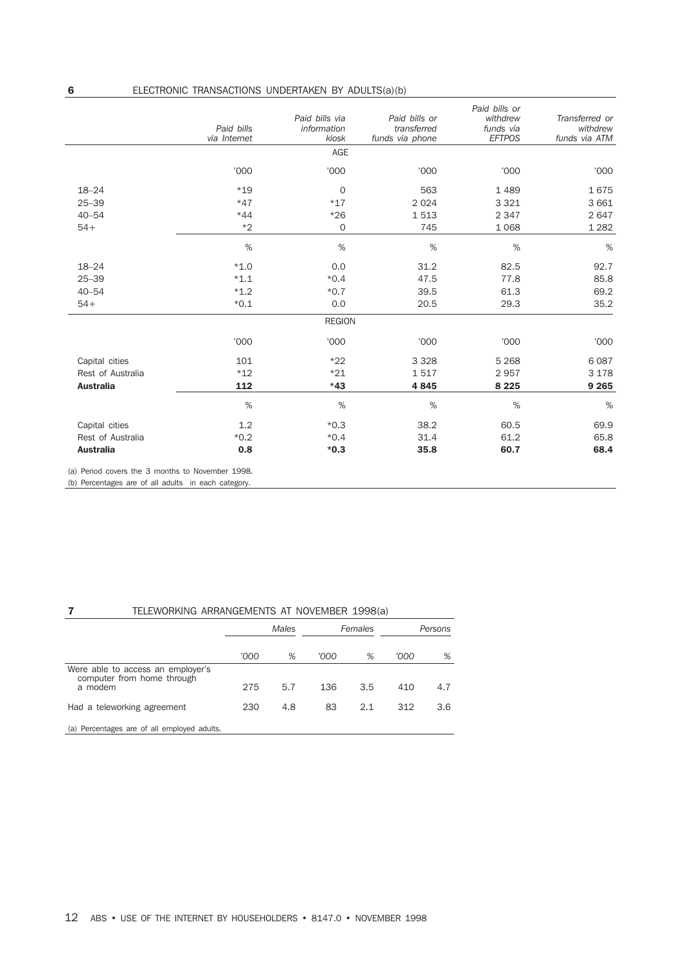| 6                 | ELECTRONIC TRANSACTIONS UNDERTAKEN BY ADULTS(a)(b) |                                        |                                                 |                                                         |                                             |
|-------------------|----------------------------------------------------|----------------------------------------|-------------------------------------------------|---------------------------------------------------------|---------------------------------------------|
|                   | Paid bills<br>via Internet                         | Paid bills via<br>information<br>kiosk | Paid bills or<br>transferred<br>funds via phone | Paid bills or<br>withdrew<br>funds via<br><b>EFTPOS</b> | Transferred or<br>withdrew<br>funds via ATM |
|                   |                                                    | AGE                                    |                                                 |                                                         |                                             |
|                   | '000                                               | '000                                   | '000                                            | '000                                                    | '000                                        |
| $18 - 24$         | $*19$                                              | $\mathbf 0$                            | 563                                             | 1 4 8 9                                                 | 1675                                        |
| $25 - 39$         | $*47$                                              | $*17$                                  | 2 0 2 4                                         | 3 3 2 1                                                 | 3 6 6 1                                     |
| $40 - 54$         | $*44$                                              | $*26$                                  | 1513                                            | 2 3 4 7                                                 | 2647                                        |
| $54+$             | $*2$                                               | $\mathbf 0$                            | 745                                             | 1 0 6 8                                                 | 1 2 8 2                                     |
|                   | $\%$                                               | $\%$                                   | %                                               | %                                                       | $\%$                                        |
| $18 - 24$         | $*1.0$                                             | 0.0                                    | 31.2                                            | 82.5                                                    | 92.7                                        |
| $25 - 39$         | $*1.1$                                             | $*0.4$                                 | 47.5                                            | 77.8                                                    | 85.8                                        |
| $40 - 54$         | $*1.2$                                             | $*0.7$                                 | 39.5                                            | 61.3                                                    | 69.2                                        |
| $54+$             | $*0.1$                                             | 0.0                                    | 20.5                                            | 29.3                                                    | 35.2                                        |
|                   |                                                    | <b>REGION</b>                          |                                                 |                                                         |                                             |
|                   | '000                                               | '000                                   | '000                                            | '000                                                    | '000                                        |
| Capital cities    | 101                                                | $*22$                                  | 3 3 2 8                                         | 5 2 6 8                                                 | 6087                                        |
| Rest of Australia | $*12$                                              | $*21$                                  | 1517                                            | 2957                                                    | 3 1 7 8                                     |
| <b>Australia</b>  | 112                                                | $*43$                                  | 4845                                            | 8 2 2 5                                                 | 9 2 6 5                                     |
|                   | $\%$                                               | %                                      | %                                               | %                                                       | %                                           |
| Capital cities    | 1.2                                                | $*0.3$                                 | 38.2                                            | 60.5                                                    | 69.9                                        |
| Rest of Australia | $*0.2$                                             | $*0.4$                                 | 31.4                                            | 61.2                                                    | 65.8                                        |
| <b>Australia</b>  | 0.8                                                | $*0.3$                                 | 35.8                                            | 60.7                                                    | 68.4                                        |

(a) Period covers the 3 months to November 1998.

(b) Percentages are of all adults in each category.

### 7 TELEWORKING ARRANGEMENTS AT NOVEMBER 1998(a)

|                                                                 | <b>Males</b> |     | Females |     | Persons |     |
|-----------------------------------------------------------------|--------------|-----|---------|-----|---------|-----|
|                                                                 | '000         | %   | '000    | %   | '000    | %   |
| Were able to access an employer's<br>computer from home through |              |     |         |     |         |     |
| a modem                                                         | 275          | 5.7 | 136     | 3.5 | 410     | 4.7 |
| Had a teleworking agreement                                     | 230          | 4.8 | 83      | 2.1 | 312     | 3.6 |
| (a) Percentages are of all employed adults.                     |              |     |         |     |         |     |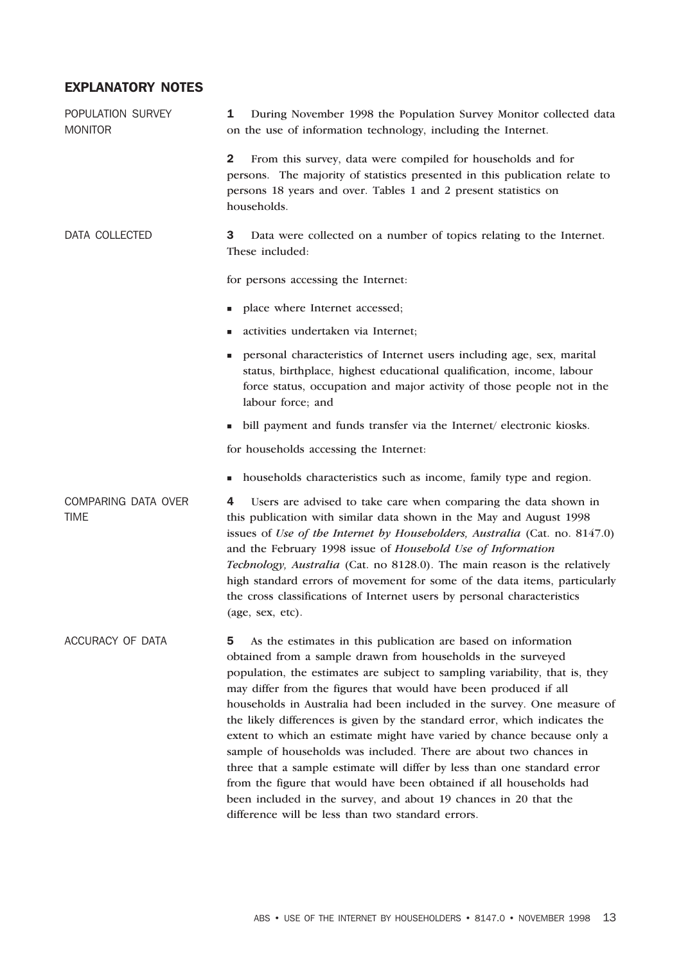### EXPLANATORY NOTES

| POPULATION SURVEY<br><b>MONITOR</b> | During November 1998 the Population Survey Monitor collected data<br>1<br>on the use of information technology, including the Internet.                                                                                                                                                                                                                                                                                                                                                                                                                                                                                                                                                                                                                                                                                                                                    |  |  |
|-------------------------------------|----------------------------------------------------------------------------------------------------------------------------------------------------------------------------------------------------------------------------------------------------------------------------------------------------------------------------------------------------------------------------------------------------------------------------------------------------------------------------------------------------------------------------------------------------------------------------------------------------------------------------------------------------------------------------------------------------------------------------------------------------------------------------------------------------------------------------------------------------------------------------|--|--|
|                                     | $\mathbf{2}$<br>From this survey, data were compiled for households and for<br>persons. The majority of statistics presented in this publication relate to<br>persons 18 years and over. Tables 1 and 2 present statistics on<br>households.                                                                                                                                                                                                                                                                                                                                                                                                                                                                                                                                                                                                                               |  |  |
| DATA COLLECTED                      | 3<br>Data were collected on a number of topics relating to the Internet.<br>These included:                                                                                                                                                                                                                                                                                                                                                                                                                                                                                                                                                                                                                                                                                                                                                                                |  |  |
|                                     | for persons accessing the Internet:                                                                                                                                                                                                                                                                                                                                                                                                                                                                                                                                                                                                                                                                                                                                                                                                                                        |  |  |
|                                     | place where Internet accessed;<br>٠                                                                                                                                                                                                                                                                                                                                                                                                                                                                                                                                                                                                                                                                                                                                                                                                                                        |  |  |
|                                     | activities undertaken via Internet;                                                                                                                                                                                                                                                                                                                                                                                                                                                                                                                                                                                                                                                                                                                                                                                                                                        |  |  |
|                                     | personal characteristics of Internet users including age, sex, marital<br>ш<br>status, birthplace, highest educational qualification, income, labour<br>force status, occupation and major activity of those people not in the<br>labour force; and                                                                                                                                                                                                                                                                                                                                                                                                                                                                                                                                                                                                                        |  |  |
|                                     | bill payment and funds transfer via the Internet/ electronic kiosks.<br>٠                                                                                                                                                                                                                                                                                                                                                                                                                                                                                                                                                                                                                                                                                                                                                                                                  |  |  |
|                                     | for households accessing the Internet:                                                                                                                                                                                                                                                                                                                                                                                                                                                                                                                                                                                                                                                                                                                                                                                                                                     |  |  |
|                                     | households characteristics such as income, family type and region.<br>٠                                                                                                                                                                                                                                                                                                                                                                                                                                                                                                                                                                                                                                                                                                                                                                                                    |  |  |
| COMPARING DATA OVER<br><b>TIME</b>  | Users are advised to take care when comparing the data shown in<br>4<br>this publication with similar data shown in the May and August 1998<br>issues of Use of the Internet by Householders, Australia (Cat. no. 8147.0)<br>and the February 1998 issue of Household Use of Information<br>Technology, Australia (Cat. no 8128.0). The main reason is the relatively<br>high standard errors of movement for some of the data items, particularly<br>the cross classifications of Internet users by personal characteristics<br>(age, sex, etc).                                                                                                                                                                                                                                                                                                                          |  |  |
| ACCURACY OF DATA                    | 5<br>As the estimates in this publication are based on information<br>obtained from a sample drawn from households in the surveyed<br>population, the estimates are subject to sampling variability, that is, they<br>may differ from the figures that would have been produced if all<br>households in Australia had been included in the survey. One measure of<br>the likely differences is given by the standard error, which indicates the<br>extent to which an estimate might have varied by chance because only a<br>sample of households was included. There are about two chances in<br>three that a sample estimate will differ by less than one standard error<br>from the figure that would have been obtained if all households had<br>been included in the survey, and about 19 chances in 20 that the<br>difference will be less than two standard errors. |  |  |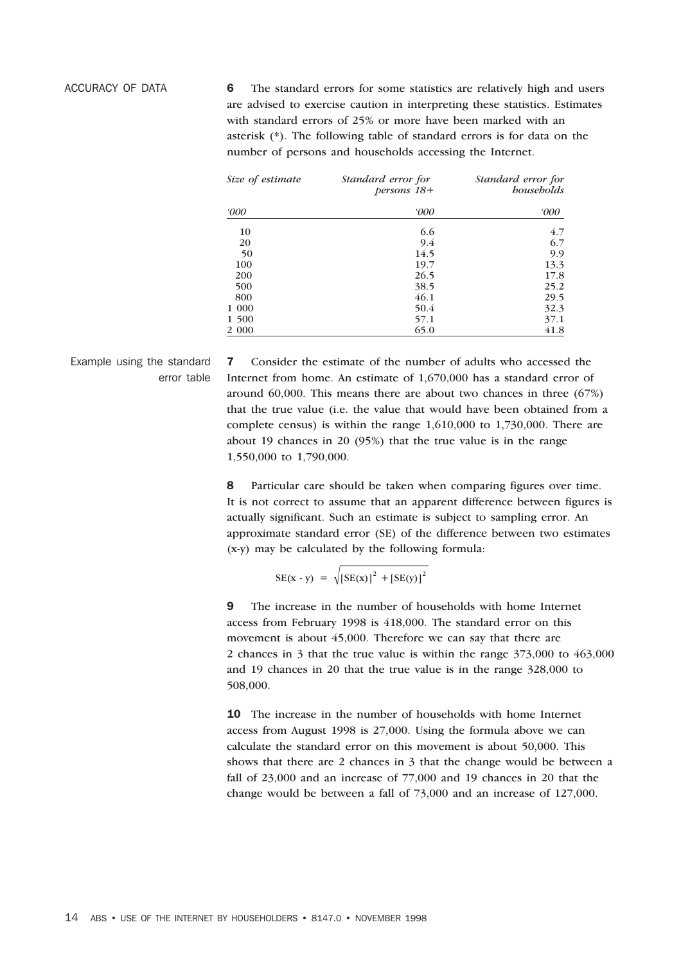ACCURACY OF DATA 6 The standard errors for some statistics are relatively high and users are advised to exercise caution in interpreting these statistics. Estimates with standard errors of 25% or more have been marked with an asterisk (\*). The following table of standard errors is for data on the number of persons and households accessing the Internet.

| Size of estimate | Standard error for<br>$bersons$ 18+ | Standard error for<br><i>bousebolds</i><br>000 |  |
|------------------|-------------------------------------|------------------------------------------------|--|
| <i>'000</i>      | <i>'000</i>                         |                                                |  |
| 10               | 6.6                                 | 4.7                                            |  |
| 20               | 9.4                                 | 6.7                                            |  |
| 50               | 14.5                                | 9.9                                            |  |
| 100              | 19.7                                | 13.3                                           |  |
| 200              | 26.5                                | 17.8                                           |  |
| 500              | 38.5                                | 25.2                                           |  |
| 800              | 46.1                                | 29.5                                           |  |
| 1 000            | 50.4                                | 32.3                                           |  |
| 1 500            | 57.1                                | 37.1                                           |  |
| 2 0 0 0          | 65.0                                | 41.8                                           |  |

Example using the standard error table 7 Consider the estimate of the number of adults who accessed the Internet from home. An estimate of 1,670,000 has a standard error of around 60,000. This means there are about two chances in three (67%) that the true value (i.e. the value that would have been obtained from a complete census) is within the range 1,610,000 to 1,730,000. There are about 19 chances in 20 (95%) that the true value is in the range 1,550,000 to 1,790,000.

8 Particular care should be taken when comparing figures over time. It is not correct to assume that an apparent difference between figures is actually significant. Such an estimate is subject to sampling error. An approximate standard error (SE) of the difference between two estimates (x-y) may be calculated by the following formula:

 $SE(x - y) = \sqrt{[SE(x)]^{2} + [SE(y)]^{2}}$ 

9 The increase in the number of households with home Internet access from February 1998 is 418,000. The standard error on this movement is about 45,000. Therefore we can say that there are 2 chances in 3 that the true value is within the range 373,000 to 463,000 and 19 chances in 20 that the true value is in the range 328,000 to 508,000.

10 The increase in the number of households with home Internet access from August 1998 is 27,000. Using the formula above we can calculate the standard error on this movement is about 50,000. This shows that there are 2 chances in 3 that the change would be between a fall of 23,000 and an increase of 77,000 and 19 chances in 20 that the change would be between a fall of 73,000 and an increase of 127,000.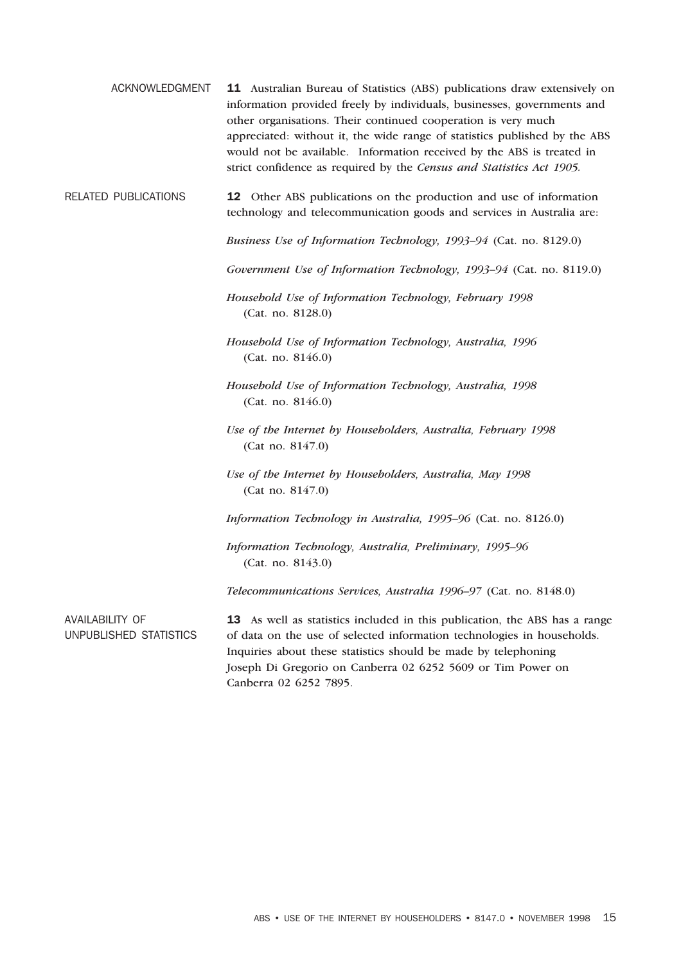ACKNOWLEDGMENT 11 Australian Bureau of Statistics (ABS) publications draw extensively on information provided freely by individuals, businesses, governments and other organisations. Their continued cooperation is very much appreciated: without it, the wide range of statistics published by the ABS would not be available. Information received by the ABS is treated in strict confidence as required by the *Census and Statistics Act 1905.*

### RELATED PUBLICATIONS 12 Other ABS publications on the production and use of information technology and telecommunication goods and services in Australia are:

*Business Use of Information Technology, 1993–94* (Cat. no. 8129.0)

*Government Use of Information Technology, 1993–94* (Cat. no. 8119.0)

*Household Use of Information Technology, February 1998* (Cat. no. 8128.0)

*Household Use of Information Technology, Australia, 1996* (Cat. no. 8146.0)

- *Household Use of Information Technology, Australia, 1998* (Cat. no. 8146.0)
- *Use of the Internet by Householders, Australia, February 1998* (Cat no. 8147.0)
- *Use of the Internet by Householders, Australia, May 1998* (Cat no. 8147.0)

*Information Technology in Australia, 1995–96* (Cat. no. 8126.0)

*Information Technology, Australia, Preliminary, 1995–96* (Cat. no. 8143.0)

*Telecommunications Services, Australia 1996–97* (Cat. no. 8148.0)

AVAILABILITY OF UNPUBLISHED STATISTICS

13 As well as statistics included in this publication, the ABS has a range of data on the use of selected information technologies in households. Inquiries about these statistics should be made by telephoning Joseph Di Gregorio on Canberra 02 6252 5609 or Tim Power on Canberra 02 6252 7895.